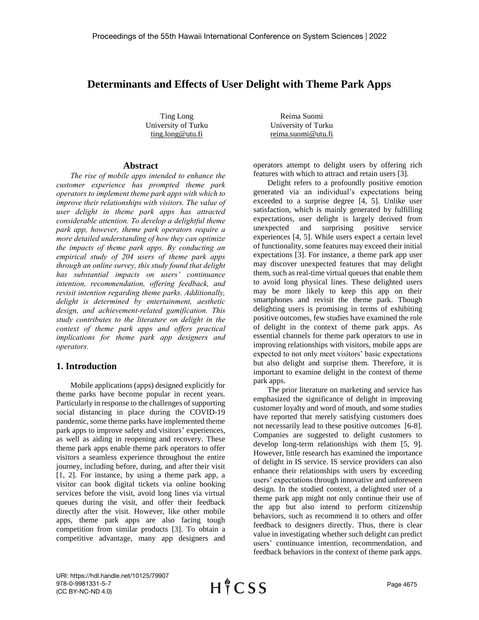# **Determinants and Effects of User Delight with Theme Park Apps**

Ting Long University of Turku ting.long@utu.fi

Reima Suomi University of Turku reima.suomi@utu.fi

#### **Abstract**

*The rise of mobile apps intended to enhance the customer experience has prompted theme park operators to implement theme park apps with which to improve their relationships with visitors. The value of user delight in theme park apps has attracted considerable attention. To develop a delightful theme park app, however, theme park operators require a more detailed understanding of how they can optimize the impacts of theme park apps. By conducting an empirical study of 204 users of theme park apps through an online survey, this study found that delight has substantial impacts on users' continuance intention, recommendation, offering feedback, and revisit intention regarding theme parks. Additionally, delight is determined by entertainment, aesthetic design, and achievement-related gamification. This study contributes to the literature on delight in the context of theme park apps and offers practical implications for theme park app designers and operators.*

## **1. Introduction**

Mobile applications (apps) designed explicitly for theme parks have become popular in recent years. Particularly in response to the challenges of supporting social distancing in place during the COVID-19 pandemic, some theme parks have implemented theme park apps to improve safety and visitors' experiences, as well as aiding in reopening and recovery. These theme park apps enable theme park operators to offer visitors a seamless experience throughout the entire journey, including before, during, and after their visit [1, 2]. For instance, by using a theme park app, a visitor can book digital tickets via online booking services before the visit, avoid long lines via virtual queues during the visit, and offer their feedback directly after the visit. However, like other mobile apps, theme park apps are also facing tough competition from similar products [3]. To obtain a competitive advantage, many app designers and operators attempt to delight users by offering rich features with which to attract and retain users [3].

Delight refers to a profoundly positive emotion generated via an individual's expectations being exceeded to a surprise degree [4, 5]. Unlike user satisfaction, which is mainly generated by fulfilling expectations, user delight is largely derived from unexpected and surprising positive service experiences [4, 5]. While users expect a certain level of functionality, some features may exceed their initial expectations [3]. For instance, a theme park app user may discover unexpected features that may delight them, such as real-time virtual queues that enable them to avoid long physical lines. These delighted users may be more likely to keep this app on their smartphones and revisit the theme park. Though delighting users is promising in terms of exhibiting positive outcomes, few studies have examined the role of delight in the context of theme park apps. As essential channels for theme park operators to use in improving relationships with visitors, mobile apps are expected to not only meet visitors' basic expectations but also delight and surprise them. Therefore, it is important to examine delight in the context of theme park apps.

The prior literature on marketing and service has emphasized the significance of delight in improving customer loyalty and word of mouth, and some studies have reported that merely satisfying customers does not necessarily lead to these positive outcomes [6-8]. Companies are suggested to delight customers to develop long-term relationships with them [5, 9]. However, little research has examined the importance of delight in IS service. IS service providers can also enhance their relationships with users by exceeding users' expectations through innovative and unforeseen design. In the studied context, a delighted user of a theme park app might not only continue their use of the app but also intend to perform citizenship behaviors, such as recommend it to others and offer feedback to designers directly. Thus, there is clear value in investigating whether such delight can predict users' continuance intention, recommendation, and feedback behaviors in the context of theme park apps.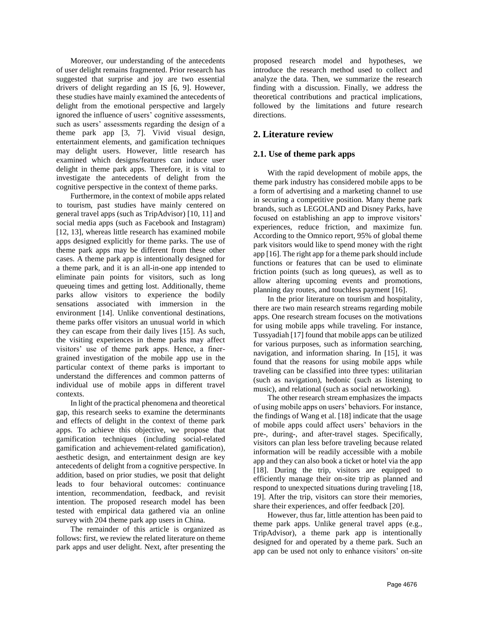Moreover, our understanding of the antecedents of user delight remains fragmented. Prior research has suggested that surprise and joy are two essential drivers of delight regarding an IS [6, 9]. However, these studies have mainly examined the antecedents of delight from the emotional perspective and largely ignored the influence of users' cognitive assessments, such as users' assessments regarding the design of a theme park app [3, 7]. Vivid visual design, entertainment elements, and gamification techniques may delight users. However, little research has examined which designs/features can induce user delight in theme park apps. Therefore, it is vital to investigate the antecedents of delight from the cognitive perspective in the context of theme parks.

Furthermore, in the context of mobile apps related to tourism, past studies have mainly centered on general travel apps (such as TripAdvisor) [10, 11] and social media apps (such as Facebook and Instagram) [12, 13], whereas little research has examined mobile apps designed explicitly for theme parks. The use of theme park apps may be different from these other cases. A theme park app is intentionally designed for a theme park, and it is an all-in-one app intended to eliminate pain points for visitors, such as long queueing times and getting lost. Additionally, theme parks allow visitors to experience the bodily sensations associated with immersion in the environment [14]. Unlike conventional destinations, theme parks offer visitors an unusual world in which they can escape from their daily lives [15]. As such, the visiting experiences in theme parks may affect visitors' use of theme park apps. Hence, a finergrained investigation of the mobile app use in the particular context of theme parks is important to understand the differences and common patterns of individual use of mobile apps in different travel contexts.

In light of the practical phenomena and theoretical gap, this research seeks to examine the determinants and effects of delight in the context of theme park apps. To achieve this objective, we propose that gamification techniques (including social-related gamification and achievement-related gamification), aesthetic design, and entertainment design are key antecedents of delight from a cognitive perspective. In addition, based on prior studies, we posit that delight leads to four behavioral outcomes: continuance intention, recommendation, feedback, and revisit intention. The proposed research model has been tested with empirical data gathered via an online survey with 204 theme park app users in China.

The remainder of this article is organized as follows: first, we review the related literature on theme park apps and user delight. Next, after presenting the proposed research model and hypotheses, we introduce the research method used to collect and analyze the data. Then, we summarize the research finding with a discussion. Finally, we address the theoretical contributions and practical implications, followed by the limitations and future research directions.

# **2. Literature review**

## **2.1. Use of theme park apps**

With the rapid development of mobile apps, the theme park industry has considered mobile apps to be a form of advertising and a marketing channel to use in securing a competitive position. Many theme park brands, such as LEGOLAND and Disney Parks, have focused on establishing an app to improve visitors' experiences, reduce friction, and maximize fun. According to the Omnico report, 95% of global theme park visitors would like to spend money with the right app [16]. The right app for a theme park should include functions or features that can be used to eliminate friction points (such as long queues), as well as to allow altering upcoming events and promotions, planning day routes, and touchless payment [16].

In the prior literature on tourism and hospitality, there are two main research streams regarding mobile apps. One research stream focuses on the motivations for using mobile apps while traveling. For instance, Tussyadiah [17] found that mobile apps can be utilized for various purposes, such as information searching, navigation, and information sharing. In [15], it was found that the reasons for using mobile apps while traveling can be classified into three types: utilitarian (such as navigation), hedonic (such as listening to music), and relational (such as social networking).

The other research stream emphasizes the impacts of using mobile apps on users' behaviors. For instance, the findings of Wang et al. [18] indicate that the usage of mobile apps could affect users' behaviors in the pre-, during-, and after-travel stages. Specifically, visitors can plan less before traveling because related information will be readily accessible with a mobile app and they can also book a ticket or hotel via the app [18]. During the trip, visitors are equipped to efficiently manage their on-site trip as planned and respond to unexpected situations during traveling [18, 19]. After the trip, visitors can store their memories, share their experiences, and offer feedback [20].

However, thus far, little attention has been paid to theme park apps. Unlike general travel apps (e.g., TripAdvisor), a theme park app is intentionally designed for and operated by a theme park. Such an app can be used not only to enhance visitors' on-site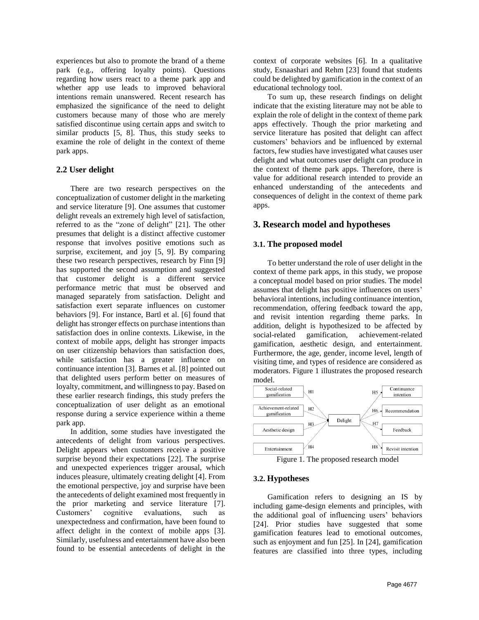experiences but also to promote the brand of a theme park (e.g., offering loyalty points). Questions regarding how users react to a theme park app and whether app use leads to improved behavioral intentions remain unanswered. Recent research has emphasized the significance of the need to delight customers because many of those who are merely satisfied discontinue using certain apps and switch to similar products [5, 8]. Thus, this study seeks to examine the role of delight in the context of theme park apps.

## **2.2 User delight**

There are two research perspectives on the conceptualization of customer delight in the marketing and service literature [9]. One assumes that customer delight reveals an extremely high level of satisfaction, referred to as the "zone of delight" [21]. The other presumes that delight is a distinct affective customer response that involves positive emotions such as surprise, excitement, and joy [5, 9]. By comparing these two research perspectives, research by Finn [9] has supported the second assumption and suggested that customer delight is a different service performance metric that must be observed and managed separately from satisfaction. Delight and satisfaction exert separate influences on customer behaviors [9]. For instance, Bartl et al. [6] found that delight has stronger effects on purchase intentions than satisfaction does in online contexts. Likewise, in the context of mobile apps, delight has stronger impacts on user citizenship behaviors than satisfaction does, while satisfaction has a greater influence on continuance intention [3]. Barnes et al. [8] pointed out that delighted users perform better on measures of loyalty, commitment, and willingness to pay. Based on these earlier research findings, this study prefers the conceptualization of user delight as an emotional response during a service experience within a theme park app.

In addition, some studies have investigated the antecedents of delight from various perspectives. Delight appears when customers receive a positive surprise beyond their expectations [22]. The surprise and unexpected experiences trigger arousal, which induces pleasure, ultimately creating delight [4]. From the emotional perspective, joy and surprise have been the antecedents of delight examined most frequently in the prior marketing and service literature [7]. Customers' cognitive evaluations, such as unexpectedness and confirmation, have been found to affect delight in the context of mobile apps [3]. Similarly, usefulness and entertainment have also been found to be essential antecedents of delight in the

context of corporate websites [6]. In a qualitative study, Esnaashari and Rehm [23] found that students could be delighted by gamification in the context of an educational technology tool.

To sum up, these research findings on delight indicate that the existing literature may not be able to explain the role of delight in the context of theme park apps effectively. Though the prior marketing and service literature has posited that delight can affect customers' behaviors and be influenced by external factors, few studies have investigated what causes user delight and what outcomes user delight can produce in the context of theme park apps. Therefore, there is value for additional research intended to provide an enhanced understanding of the antecedents and consequences of delight in the context of theme park apps.

# **3. Research model and hypotheses**

## **3.1. The proposed model**

To better understand the role of user delight in the context of theme park apps, in this study, we propose a conceptual model based on prior studies. The model assumes that delight has positive influences on users' behavioral intentions, including continuance intention, recommendation, offering feedback toward the app, and revisit intention regarding theme parks. In addition, delight is hypothesized to be affected by social-related gamification, achievement-related gamification, aesthetic design, and entertainment. Furthermore, the age, gender, income level, length of visiting time, and types of residence are considered as moderators. Figure 1 illustrates the proposed research



Figure 1. The proposed research model

## **3.2. Hypotheses**

Gamification refers to designing an IS by including game-design elements and principles, with the additional goal of influencing users' behaviors [24]. Prior studies have suggested that some gamification features lead to emotional outcomes, such as enjoyment and fun [25]. In [24], gamification features are classified into three types, including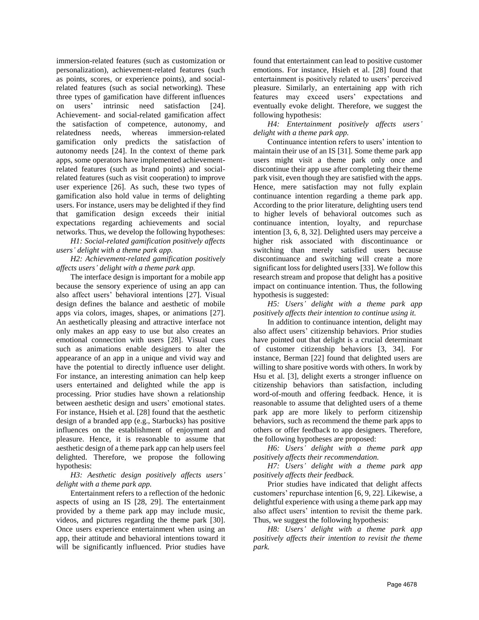immersion-related features (such as customization or personalization), achievement-related features (such as points, scores, or experience points), and socialrelated features (such as social networking). These three types of gamification have different influences on users' intrinsic need satisfaction [24]. Achievement- and social-related gamification affect the satisfaction of competence, autonomy, and relatedness needs, whereas immersion-related gamification only predicts the satisfaction of autonomy needs [24]. In the context of theme park apps, some operators have implemented achievementrelated features (such as brand points) and socialrelated features (such as visit cooperation) to improve user experience [26]. As such, these two types of gamification also hold value in terms of delighting users. For instance, users may be delighted if they find that gamification design exceeds their initial expectations regarding achievements and social networks. Thus, we develop the following hypotheses:

*H1: Social-related gamification positively affects users' delight with a theme park app.*

*H2: Achievement-related gamification positively affects users' delight with a theme park app.*

The interface design is important for a mobile app because the sensory experience of using an app can also affect users' behavioral intentions [27]. Visual design defines the balance and aesthetic of mobile apps via colors, images, shapes, or animations [27]. An aesthetically pleasing and attractive interface not only makes an app easy to use but also creates an emotional connection with users [28]. Visual cues such as animations enable designers to alter the appearance of an app in a unique and vivid way and have the potential to directly influence user delight. For instance, an interesting animation can help keep users entertained and delighted while the app is processing. Prior studies have shown a relationship between aesthetic design and users' emotional states. For instance, Hsieh et al. [28] found that the aesthetic design of a branded app (e.g., Starbucks) has positive influences on the establishment of enjoyment and pleasure. Hence, it is reasonable to assume that aesthetic design of a theme park app can help users feel delighted. Therefore, we propose the following hypothesis:

*H3: Aesthetic design positively affects users' delight with a theme park app.*

Entertainment refers to a reflection of the hedonic aspects of using an IS [28, 29]. The entertainment provided by a theme park app may include music, videos, and pictures regarding the theme park [30]. Once users experience entertainment when using an app, their attitude and behavioral intentions toward it will be significantly influenced. Prior studies have found that entertainment can lead to positive customer emotions. For instance, Hsieh et al. [28] found that entertainment is positively related to users' perceived pleasure. Similarly, an entertaining app with rich features may exceed users' expectations and eventually evoke delight. Therefore, we suggest the following hypothesis:

*H4: Entertainment positively affects users' delight with a theme park app.*

Continuance intention refers to users' intention to maintain their use of an IS [31]. Some theme park app users might visit a theme park only once and discontinue their app use after completing their theme park visit, even though they are satisfied with the apps. Hence, mere satisfaction may not fully explain continuance intention regarding a theme park app. According to the prior literature, delighting users tend to higher levels of behavioral outcomes such as continuance intention, loyalty, and repurchase intention [3, 6, 8, 32]. Delighted users may perceive a higher risk associated with discontinuance or switching than merely satisfied users because discontinuance and switching will create a more significant loss for delighted users [33]. We follow this research stream and propose that delight has a positive impact on continuance intention. Thus, the following hypothesis is suggested:

*H5: Users' delight with a theme park app positively affects their intention to continue using it.*

In addition to continuance intention, delight may also affect users' citizenship behaviors. Prior studies have pointed out that delight is a crucial determinant of customer citizenship behaviors [3, 34]. For instance, Berman [22] found that delighted users are willing to share positive words with others. In work by Hsu et al. [3], delight exerts a stronger influence on citizenship behaviors than satisfaction, including word-of-mouth and offering feedback. Hence, it is reasonable to assume that delighted users of a theme park app are more likely to perform citizenship behaviors, such as recommend the theme park apps to others or offer feedback to app designers. Therefore, the following hypotheses are proposed:

*H6: Users' delight with a theme park app positively affects their recommendation.*

*H7: Users' delight with a theme park app positively affects their feedback.*

Prior studies have indicated that delight affects customers' repurchase intention [6, 9, 22]. Likewise, a delightful experience with using a theme park app may also affect users' intention to revisit the theme park. Thus, we suggest the following hypothesis:

*H8: Users' delight with a theme park app positively affects their intention to revisit the theme park.*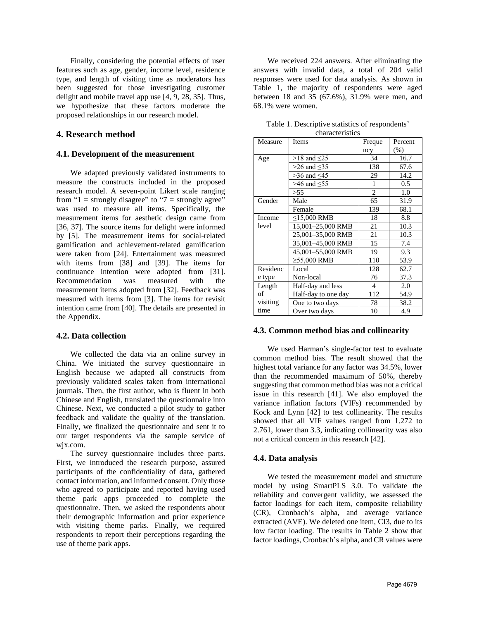Finally, considering the potential effects of user features such as age, gender, income level, residence type, and length of visiting time as moderators has been suggested for those investigating customer delight and mobile travel app use [4, 9, 28, 35]. Thus, we hypothesize that these factors moderate the proposed relationships in our research model.

## **4. Research method**

### **4.1. Development of the measurement**

We adapted previously validated instruments to measure the constructs included in the proposed research model. A seven-point Likert scale ranging from "1 = strongly disagree" to "7 = strongly agree" was used to measure all items. Specifically, the measurement items for aesthetic design came from [36, 37]. The source items for delight were informed by [5]. The measurement items for social-related gamification and achievement-related gamification were taken from [24]. Entertainment was measured with items from [38] and [39]. The items for continuance intention were adopted from [31]. Recommendation was measured with the measurement items adopted from [32]. Feedback was measured with items from [3]. The items for revisit intention came from [40]. The details are presented in the Appendix.

### **4.2. Data collection**

We collected the data via an online survey in China. We initiated the survey questionnaire in English because we adapted all constructs from previously validated scales taken from international journals. Then, the first author, who is fluent in both Chinese and English, translated the questionnaire into Chinese. Next, we conducted a pilot study to gather feedback and validate the quality of the translation. Finally, we finalized the questionnaire and sent it to our target respondents via the sample service of wjx.com.

The survey questionnaire includes three parts. First, we introduced the research purpose, assured participants of the confidentiality of data, gathered contact information, and informed consent. Only those who agreed to participate and reported having used theme park apps proceeded to complete the questionnaire. Then, we asked the respondents about their demographic information and prior experience with visiting theme parks. Finally, we required respondents to report their perceptions regarding the use of theme park apps.

We received 224 answers. After eliminating the answers with invalid data, a total of 204 valid responses were used for data analysis. As shown in Table 1, the majority of respondents were aged between 18 and 35 (67.6%), 31.9% were men, and 68.1% were women.

| Measure  | <b>Items</b>        | Freque         | Percent       |
|----------|---------------------|----------------|---------------|
|          |                     | ncy            | (% )          |
| Age      | $>18$ and $\leq$ 25 | 34             | 16.7          |
|          | $>26$ and $<35$     | 138            | 67.6          |
|          | $>36$ and $\leq 45$ | 29             | 14.2          |
|          | $>46$ and $< 55$    | 1              | $0.5^{\circ}$ |
|          | > 55                | $\overline{c}$ | 1.0           |
| Gender   | Male                | 65             | 31.9          |
|          | Female              | 139            | 68.1          |
| Income   | ≤15,000 RMB         | 18             | 8.8           |
| level    | 15,001-25,000 RMB   | 21             | 10.3          |
|          | 25,001-35,000 RMB   | 21             | 10.3          |
|          | 35,001-45,000 RMB   | 15             | 7.4           |
|          | 45,001-55,000 RMB   | 19             | 9.3           |
|          | $≥55,000$ RMB       | 110            | 53.9          |
| Residenc | Local               | 128            | 62.7          |
| e type   | Non-local           | 76             | 37.3          |
| Length   | Half-day and less   | 4              | 2.0           |
| of       | Half-day to one day | 112            | 54.9          |
| visiting | One to two days     | 78             | 38.2          |
| time     | Over two days       | 10             | 4.9           |

Table 1. Descriptive statistics of respondents' characteristics

### **4.3. Common method bias and collinearity**

We used Harman's single-factor test to evaluate common method bias. The result showed that the highest total variance for any factor was 34.5%, lower than the recommended maximum of 50%, thereby suggesting that common method bias was not a critical issue in this research [41]. We also employed the variance inflation factors (VIFs) recommended by Kock and Lynn [42] to test collinearity. The results showed that all VIF values ranged from 1.272 to 2.761, lower than 3.3, indicating collinearity was also not a critical concern in this research [42].

#### **4.4. Data analysis**

We tested the measurement model and structure model by using SmartPLS 3.0. To validate the reliability and convergent validity, we assessed the factor loadings for each item, composite reliability (CR), Cronbach's alpha, and average variance extracted (AVE). We deleted one item, CI3, due to its low factor loading. The results in Table 2 show that factor loadings, Cronbach's alpha, and CR values were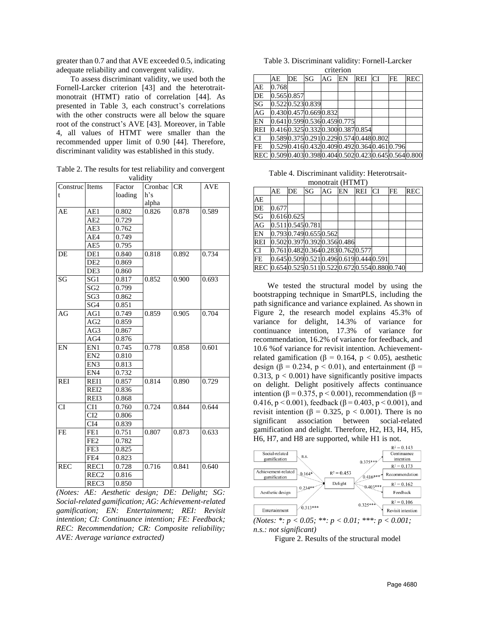greater than 0.7 and that AVE exceeded 0.5, indicating adequate reliability and convergent validity.

To assess discriminant validity, we used both the Fornell-Larcker criterion [43] and the heterotraitmonotrait (HTMT) ratio of correlation [44]. As presented in Table 3, each construct's correlations with the other constructs were all below the square root of the construct's AVE [43]. Moreover, in Table 4, all values of HTMT were smaller than the recommended upper limit of 0.90 [44]. Therefore, discriminant validity was established in this study.

Table 2. The results for test reliability and convergent validity

| Construc Items |                  | vanur y<br>Factor | Cronbac CR |       | <b>AVE</b> |
|----------------|------------------|-------------------|------------|-------|------------|
| t              |                  | loading           | h's        |       |            |
|                |                  |                   | alpha      |       |            |
| AE             | AE1              | 0.802             | 0.826      | 0.878 | 0.589      |
|                | $\overline{AE2}$ | 0.729             |            |       |            |
|                | AE3              | 0.762             |            |       |            |
|                | AE4              | 0.749             |            |       |            |
|                | AE5              | 0.795             |            |       |            |
| DE             | DE1              | 0.840             | 0.818      | 0.892 | 0.734      |
|                | DE <sub>2</sub>  | 0.869             |            |       |            |
|                | DE3              | 0.860             |            |       |            |
| SG             | SG1              | 0.817             | 0.852      | 0.900 | 0.693      |
|                | SG <sub>2</sub>  | 0.799             |            |       |            |
|                | SG <sub>3</sub>  | 0.862             |            |       |            |
|                | SG4              | 0.851             |            |       |            |
| AG             | AG1              | 0.749             | 0.859      | 0.905 | 0.704      |
|                | AG <sub>2</sub>  | 0.859             |            |       |            |
|                | AG3              | 0.867             |            |       |            |
|                | AG4              | 0.876             |            |       |            |
| EN             | EN1              | 0.745             | 0.778      | 0.858 | 0.601      |
|                | EN <sub>2</sub>  | 0.810             |            |       |            |
|                | EN3              | 0.813             |            |       |            |
|                | EN4              | 0.732             |            |       |            |
| <b>REI</b>     | REI1             | 0.857             | 0.814      | 0.890 | 0.729      |
|                | REI <sub>2</sub> | 0.836             |            |       |            |
|                | REI3             | 0.868             |            |       |            |
| CI             | CI1              | 0.760             | 0.724      | 0.844 | 0.644      |
|                | CI2              | 0.806             |            |       |            |
|                | CI <sub>4</sub>  | 0.839             |            |       |            |
| <b>FE</b>      | FE1              | 0.751             | 0.807      | 0.873 | 0.633      |
|                | FE <sub>2</sub>  | 0.782             |            |       |            |
|                | FE3              | 0.825             |            |       |            |
|                | FE4              | 0.823             |            |       |            |
| <b>REC</b>     | REC1             | 0.728             | 0.716      | 0.841 | 0.640      |
|                | REC <sub>2</sub> | 0.816             |            |       |            |
|                | REC <sub>3</sub> | 0.850             |            |       |            |

*(Notes: AE: Aesthetic design; DE: Delight; SG: Social-related gamification; AG: Achievement-related gamification; EN: Entertainment; REI: Revisit intention; CI: Continuance intention; FE: Feedback; REC: Recommendation; CR: Composite reliability; AVE: Average variance extracted)*

Table 3. Discriminant validity: Fornell-Larcker criterion

|            | AE                        | DE | SG | AG | EN | REI                                      | <b>CI</b> | FE | <b>REC</b>                                        |
|------------|---------------------------|----|----|----|----|------------------------------------------|-----------|----|---------------------------------------------------|
| AE         | 0.768                     |    |    |    |    |                                          |           |    |                                                   |
| DE         | 0.5650.857                |    |    |    |    |                                          |           |    |                                                   |
| SG         | 0.5220.5230.839           |    |    |    |    |                                          |           |    |                                                   |
| AG         | 0.4300.4570.6690.832      |    |    |    |    |                                          |           |    |                                                   |
| EN         | 0.6410.5990.5360.4590.775 |    |    |    |    |                                          |           |    |                                                   |
| <b>REI</b> |                           |    |    |    |    | 0.4160.3250.3320.3000.3870.854           |           |    |                                                   |
| <b>CI</b>  |                           |    |    |    |    | 0.5890.3750.2910.2290.5740.4480.802      |           |    |                                                   |
| FE         |                           |    |    |    |    | 0.5290.4160.4320.4090.4920.3640.4610.796 |           |    |                                                   |
|            |                           |    |    |    |    |                                          |           |    | REC 0.5090.4030.3980.4040.5020.4230.6450.5640.800 |

Table 4. Discriminant validity: Heterotrsaitmonotrait (HTMT)

|            | $\frac{1}{1110110011011}$ |                                              |    |    |    |     |           |    |            |
|------------|---------------------------|----------------------------------------------|----|----|----|-----|-----------|----|------------|
|            | AE                        | DE                                           | SG | AG | EN | REI | <b>CI</b> | FE | <b>REC</b> |
| AE         |                           |                                              |    |    |    |     |           |    |            |
| DE         | 0.677                     |                                              |    |    |    |     |           |    |            |
| SG         |                           | 0.6160.625                                   |    |    |    |     |           |    |            |
| AG         |                           | 0.511 0.545 0.781                            |    |    |    |     |           |    |            |
| EN         |                           | 0.7930.7490.6550.562                         |    |    |    |     |           |    |            |
| <b>REI</b> |                           | 0.5020.3970.3920.3560.486                    |    |    |    |     |           |    |            |
| <b>CI</b>  |                           | 0.7610.4820.3640.2830.7620.577               |    |    |    |     |           |    |            |
| FE         |                           | 0.645 0.509 0.521 0.496 0.619 0.444 0.591    |    |    |    |     |           |    |            |
|            |                           | REC 0.6540.5250.5110.5220.6720.5540.8800.740 |    |    |    |     |           |    |            |

We tested the structural model by using the bootstrapping technique in SmartPLS, including the path significance and variance explained. As shown in Figure 2, the research model explains 45.3% of variance for delight, 14.3% of variance for continuance intention, 17.3% of variance for recommendation, 16.2% of variance for feedback, and 10.6 %of variance for revisit intention. Achievementrelated gamification (β = 0.164, p < 0.05), aesthetic design ( $\beta$  = 0.234, p < 0.01), and entertainment ( $\beta$  = 0.313,  $p < 0.001$ ) have significantly positive impacts on delight. Delight positively affects continuance intention (β = 0.375, p < 0.001), recommendation (β = 0.416,  $p < 0.001$ ), feedback ( $\beta = 0.403$ ,  $p < 0.001$ ), and revisit intention (β = 0.325, p < 0.001). There is no significant association between social-related gamification and delight. Therefore, H2, H3, H4, H5, H6, H7, and H8 are supported, while H1 is not.



Figure 2. Results of the structural model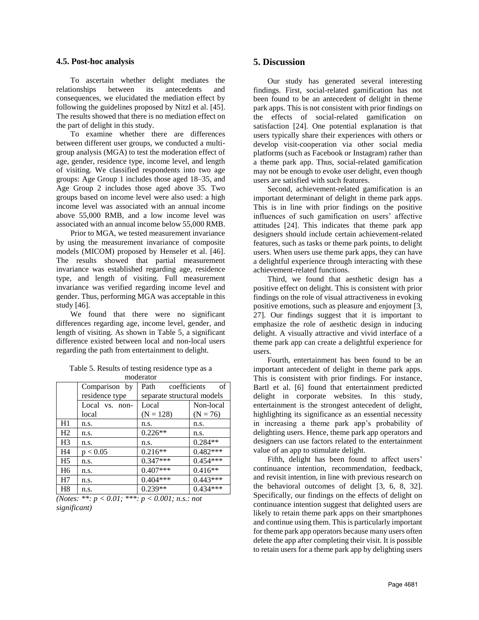#### **4.5. Post-hoc analysis**

To ascertain whether delight mediates the relationships between its antecedents and consequences, we elucidated the mediation effect by following the guidelines proposed by Nitzl et al. [45]. The results showed that there is no mediation effect on the part of delight in this study.

To examine whether there are differences between different user groups, we conducted a multigroup analysis (MGA) to test the moderation effect of age, gender, residence type, income level, and length of visiting. We classified respondents into two age groups: Age Group 1 includes those aged 18–35, and Age Group 2 includes those aged above 35. Two groups based on income level were also used: a high income level was associated with an annual income above 55,000 RMB, and a low income level was associated with an annual income below 55,000 RMB.

Prior to MGA, we tested measurement invariance by using the measurement invariance of composite models (MICOM) proposed by Henseler et al. [46]. The results showed that partial measurement invariance was established regarding age, residence type, and length of visiting. Full measurement invariance was verified regarding income level and gender. Thus, performing MGA was acceptable in this study [46].

We found that there were no significant differences regarding age, income level, gender, and length of visiting. As shown in Table 5, a significant difference existed between local and non-local users regarding the path from entertainment to delight.

| moderator      |                |                            |            |  |  |  |
|----------------|----------------|----------------------------|------------|--|--|--|
|                | Comparison by  | coefficients<br>Path       | οf         |  |  |  |
|                | residence type | separate structural models |            |  |  |  |
|                | Local vs. non- | Local                      | Non-local  |  |  |  |
|                | local          | $(N = 128)$                | $(N = 76)$ |  |  |  |
| H1             | n.s.           | n.s.                       | n.s.       |  |  |  |
| H <sub>2</sub> | n.s.           | $0.226**$                  | n.s.       |  |  |  |
| H <sub>3</sub> | n.s.           | n.s.                       | $0.284**$  |  |  |  |
| H4             | p < 0.05       | $0.216**$                  | $0.482***$ |  |  |  |
| H <sub>5</sub> | n.s.           | $0.347***$                 | $0.454***$ |  |  |  |
| H <sub>6</sub> | n.s.           | $0.407***$                 | $0.416**$  |  |  |  |
| H <sub>7</sub> | n.s.           | $0.404***$                 | $0.443***$ |  |  |  |
| H <sub>8</sub> | n.s.           | $0.239**$                  | $0.434***$ |  |  |  |

Table 5. Results of testing residence type as a moderator

*(Notes: \*\*: p < 0.01; \*\*\*: p < 0.001; n.s.: not significant)*

### **5. Discussion**

Our study has generated several interesting findings. First, social-related gamification has not been found to be an antecedent of delight in theme park apps. This is not consistent with prior findings on the effects of social-related gamification on satisfaction [24]. One potential explanation is that users typically share their experiences with others or develop visit-cooperation via other social media platforms (such as Facebook or Instagram) rather than a theme park app. Thus, social-related gamification may not be enough to evoke user delight, even though users are satisfied with such features.

Second, achievement-related gamification is an important determinant of delight in theme park apps. This is in line with prior findings on the positive influences of such gamification on users' affective attitudes [24]. This indicates that theme park app designers should include certain achievement-related features, such as tasks or theme park points, to delight users. When users use theme park apps, they can have a delightful experience through interacting with these achievement-related functions.

Third, we found that aesthetic design has a positive effect on delight. This is consistent with prior findings on the role of visual attractiveness in evoking positive emotions, such as pleasure and enjoyment [3, 27]. Our findings suggest that it is important to emphasize the role of aesthetic design in inducing delight. A visually attractive and vivid interface of a theme park app can create a delightful experience for users.

Fourth, entertainment has been found to be an important antecedent of delight in theme park apps. This is consistent with prior findings. For instance, Bartl et al. [6] found that entertainment predicted delight in corporate websites. In this study, entertainment is the strongest antecedent of delight, highlighting its significance as an essential necessity in increasing a theme park app's probability of delighting users. Hence, theme park app operators and designers can use factors related to the entertainment value of an app to stimulate delight.

Fifth, delight has been found to affect users' continuance intention, recommendation, feedback, and revisit intention, in line with previous research on the behavioral outcomes of delight [3, 6, 8, 32]. Specifically, our findings on the effects of delight on continuance intention suggest that delighted users are likely to retain theme park apps on their smartphones and continue using them. This is particularly important for theme park app operators because many users often delete the app after completing their visit. It is possible to retain users for a theme park app by delighting users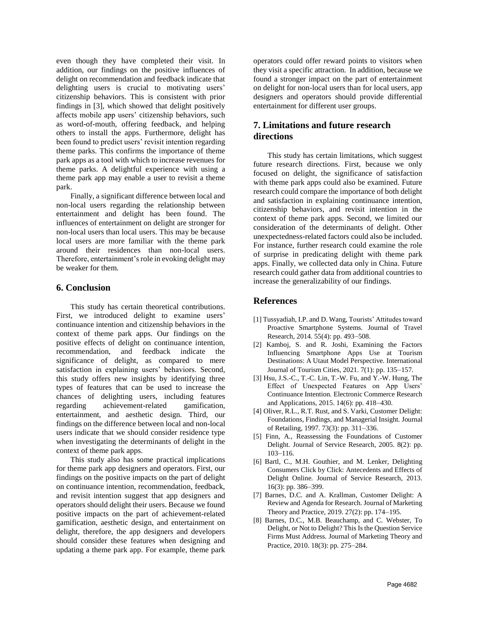even though they have completed their visit. In addition, our findings on the positive influences of delight on recommendation and feedback indicate that delighting users is crucial to motivating users' citizenship behaviors. This is consistent with prior findings in [3], which showed that delight positively affects mobile app users' citizenship behaviors, such as word-of-mouth, offering feedback, and helping others to install the apps. Furthermore, delight has been found to predict users' revisit intention regarding theme parks. This confirms the importance of theme park apps as a tool with which to increase revenues for theme parks. A delightful experience with using a theme park app may enable a user to revisit a theme park.

Finally, a significant difference between local and non-local users regarding the relationship between entertainment and delight has been found. The influences of entertainment on delight are stronger for non-local users than local users. This may be because local users are more familiar with the theme park around their residences than non-local users. Therefore, entertainment's role in evoking delight may be weaker for them.

## **6. Conclusion**

This study has certain theoretical contributions. First, we introduced delight to examine users' continuance intention and citizenship behaviors in the context of theme park apps. Our findings on the positive effects of delight on continuance intention, recommendation, and feedback indicate the significance of delight, as compared to mere satisfaction in explaining users' behaviors. Second, this study offers new insights by identifying three types of features that can be used to increase the chances of delighting users, including features regarding achievement-related gamification, entertainment, and aesthetic design. Third, our findings on the difference between local and non-local users indicate that we should consider residence type when investigating the determinants of delight in the context of theme park apps.

This study also has some practical implications for theme park app designers and operators. First, our findings on the positive impacts on the part of delight on continuance intention, recommendation, feedback, and revisit intention suggest that app designers and operators should delight their users. Because we found positive impacts on the part of achievement-related gamification, aesthetic design, and entertainment on delight, therefore, the app designers and developers should consider these features when designing and updating a theme park app. For example, theme park operators could offer reward points to visitors when they visit a specific attraction. In addition, because we found a stronger impact on the part of entertainment on delight for non-local users than for local users, app designers and operators should provide differential entertainment for different user groups.

# **7. Limitations and future research directions**

This study has certain limitations, which suggest future research directions. First, because we only focused on delight, the significance of satisfaction with theme park apps could also be examined. Future research could compare the importance of both delight and satisfaction in explaining continuance intention, citizenship behaviors, and revisit intention in the context of theme park apps. Second, we limited our consideration of the determinants of delight. Other unexpectedness-related factors could also be included. For instance, further research could examine the role of surprise in predicating delight with theme park apps. Finally, we collected data only in China. Future research could gather data from additional countries to increase the generalizability of our findings.

## **References**

- [1] Tussyadiah, I.P. and D. Wang, Tourists' Attitudes toward Proactive Smartphone Systems*.* Journal of Travel Research, 2014. 55(4): pp. 493–508.
- [2] Kamboj, S. and R. Joshi, Examining the Factors Influencing Smartphone Apps Use at Tourism Destinations: A Utaut Model Perspective*.* International Journal of Tourism Cities, 2021. 7(1): pp. 135–157.
- [3] Hsu, J.S.-C., T.-C. Lin, T.-W. Fu, and Y.-W. Hung, The Effect of Unexpected Features on App Users' Continuance Intention*.* Electronic Commerce Research and Applications, 2015. 14(6): pp. 418–430.
- [4] Oliver, R.L., R.T. Rust, and S. Varki, Customer Delight: Foundations, Findings, and Managerial Insight*.* Journal of Retailing, 1997. 73(3): pp. 311–336.
- [5] Finn, A., Reassessing the Foundations of Customer Delight*.* Journal of Service Research, 2005. 8(2): pp. 103–116.
- [6] Bartl, C., M.H. Gouthier, and M. Lenker, Delighting Consumers Click by Click: Antecedents and Effects of Delight Online*.* Journal of Service Research, 2013. 16(3): pp. 386–399.
- [7] Barnes, D.C. and A. Krallman, Customer Delight: A Review and Agenda for Research*.* Journal of Marketing Theory and Practice, 2019. 27(2): pp. 174–195.
- [8] Barnes, D.C., M.B. Beauchamp, and C. Webster, To Delight, or Not to Delight? This Is the Question Service Firms Must Address*.* Journal of Marketing Theory and Practice, 2010. 18(3): pp. 275–284.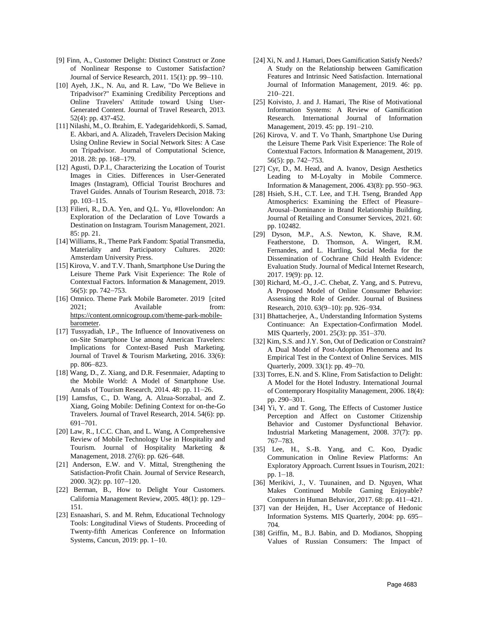- [9] Finn, A., Customer Delight: Distinct Construct or Zone of Nonlinear Response to Customer Satisfaction? Journal of Service Research, 2011. 15(1): pp. 99–110.
- [10] Ayeh, J.K., N. Au, and R. Law, "Do We Believe in Tripadvisor?" Examining Credibility Perceptions and Online Travelers' Attitude toward Using User-Generated Content*.* Journal of Travel Research, 2013. 52(4): pp. 437-452.
- [11] Nilashi, M., O. Ibrahim, E. Yadegaridehkordi, S. Samad, E. Akbari, and A. Alizadeh, Travelers Decision Making Using Online Review in Social Network Sites: A Case on Tripadvisor*.* Journal of Computational Science, 2018. 28: pp. 168–179.
- [12] Agusti, D.P.I., Characterizing the Location of Tourist Images in Cities. Differences in User-Generated Images (Instagram), Official Tourist Brochures and Travel Guides*.* Annals of Tourism Research, 2018. 73: pp. 103–115.
- [13] Filieri, R., D.A. Yen, and Q.L. Yu, #Ilovelondon: An Exploration of the Declaration of Love Towards a Destination on Instagram*.* Tourism Management, 2021. 85: pp. 21.
- [14] Williams, R., Theme Park Fandom: Spatial Transmedia, Materiality and Participatory Cultures. 2020: Amsterdam University Press.
- [15] Kirova, V. and T.V. Thanh, Smartphone Use During the Leisure Theme Park Visit Experience: The Role of Contextual Factors*.* Information & Management, 2019. 56(5): pp. 742–753.
- [16] Omnico. Theme Park Mobile Barometer. 2019 [cited] 2021; Available from: [https://content.omnicogroup.com/theme-park-mobile](https://content.omnicogroup.com/theme-park-mobile-barometer)[barometer.](https://content.omnicogroup.com/theme-park-mobile-barometer)
- [17] Tussyadiah, I.P., The Influence of Innovativeness on on-Site Smartphone Use among American Travelers: Implications for Context-Based Push Marketing*.* Journal of Travel & Tourism Marketing, 2016. 33(6): pp. 806–823.
- [18] Wang, D., Z. Xiang, and D.R. Fesenmaier, Adapting to the Mobile World: A Model of Smartphone Use*.* Annals of Tourism Research, 2014. 48: pp. 11–26.
- [19] Lamsfus, C., D. Wang, A. Alzua-Sorzabal, and Z. Xiang, Going Mobile: Defining Context for on-the-Go Travelers*.* Journal of Travel Research, 2014. 54(6): pp. 691–701.
- [20] Law, R., I.C.C. Chan, and L. Wang, A Comprehensive Review of Mobile Technology Use in Hospitality and Tourism*.* Journal of Hospitality Marketing & Management, 2018. 27(6): pp. 626–648.
- [21] Anderson, E.W. and V. Mittal, Strengthening the Satisfaction-Profit Chain*.* Journal of Service Research, 2000. 3(2): pp. 107–120.
- [22] Berman, B., How to Delight Your Customers*.* California Management Review, 2005. 48(1): pp. 129– 151.
- [23] Esnaashari, S. and M. Rehm, Educational Technology Tools: Longitudinal Views of Students. Proceeding of Twenty-fifth Americas Conference on Information Systems, Cancun, 2019: pp. 1–10.
- [24] Xi, N. and J. Hamari, Does Gamification Satisfy Needs? A Study on the Relationship between Gamification Features and Intrinsic Need Satisfaction*.* International Journal of Information Management, 2019. 46: pp. 210–221.
- [25] Koivisto, J. and J. Hamari, The Rise of Motivational Information Systems: A Review of Gamification Research*.* International Journal of Information Management, 2019. 45: pp. 191–210.
- [26] Kirova, V. and T. Vo Thanh, Smartphone Use During the Leisure Theme Park Visit Experience: The Role of Contextual Factors*.* Information & Management, 2019. 56(5): pp. 742–753.
- [27] Cyr, D., M. Head, and A. Ivanov, Design Aesthetics Leading to M-Loyalty in Mobile Commerce*.* Information & Management, 2006. 43(8): pp. 950–963.
- [28] Hsieh, S.H., C.T. Lee, and T.H. Tseng, Branded App Atmospherics: Examining the Effect of Pleasure– Arousal–Dominance in Brand Relationship Building*.* Journal of Retailing and Consumer Services, 2021. 60: pp. 102482.
- [29] Dyson, M.P., A.S. Newton, K. Shave, R.M. Featherstone, D. Thomson, A. Wingert, R.M. Fernandes, and L. Hartling, Social Media for the Dissemination of Cochrane Child Health Evidence: Evaluation Study*.* Journal of Medical Internet Research, 2017. 19(9): pp. 12.
- [30] Richard, M.-O., J.-C. Chebat, Z. Yang, and S. Putrevu, A Proposed Model of Online Consumer Behavior: Assessing the Role of Gender*.* Journal of Business Research, 2010. 63(9–10): pp. 926–934.
- [31] Bhattacherjee, A., Understanding Information Systems Continuance: An Expectation-Confirmation Model*.* MIS Quarterly, 2001. 25(3): pp. 351–370.
- [32] Kim, S.S. and J.Y. Son, Out of Dedication or Constraint? A Dual Model of Post-Adoption Phenomena and Its Empirical Test in the Context of Online Services*.* MIS Quarterly, 2009. 33(1): pp. 49–70.
- [33] Torres, E.N. and S. Kline, From Satisfaction to Delight: A Model for the Hotel Industry*.* International Journal of Contemporary Hospitality Management, 2006. 18(4): pp. 290–301.
- [34] Yi, Y. and T. Gong, The Effects of Customer Justice Perception and Affect on Customer Citizenship Behavior and Customer Dysfunctional Behavior*.* Industrial Marketing Management, 2008. 37(7): pp. 767–783.
- [35] Lee, H., S.-B. Yang, and C. Koo, Dyadic Communication in Online Review Platforms: An Exploratory Approach*.* Current Issues in Tourism, 2021: pp. 1–18.
- [36] Merikivi, J., V. Tuunainen, and D. Nguyen, What Makes Continued Mobile Gaming Enjoyable? Computers in Human Behavior, 2017. 68: pp. 411–421.
- [37] van der Heijden, H., User Acceptance of Hedonic Information Systems*.* MIS Quarterly, 2004: pp. 695– 704.
- [38] Griffin, M., B.J. Babin, and D. Modianos, Shopping Values of Russian Consumers: The Impact of